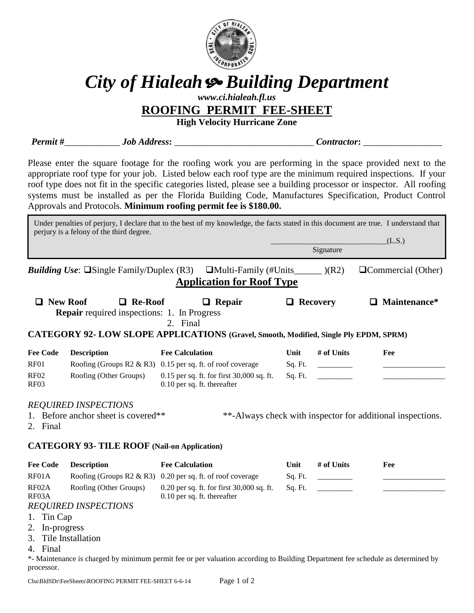

# *City of Hialeah Building Department*

## *www.ci.hialeah.fl.us*

**ROOFING PERMIT FEE-SHEET**

**High Velocity Hurricane Zone**

**Permit** # *Job Address***:** *Contractor***:** *Contractor* 

Please enter the square footage for the roofing work you are performing in the space provided next to the appropriate roof type for your job. Listed below each roof type are the minimum required inspections. If your roof type does not fit in the specific categories listed, please see a building processor or inspector. All roofing systems must be installed as per the Florida Building Code, Manufactures Specification, Product Control Approvals and Protocols. **Minimum roofing permit fee is \$180.00.**

|                                                                                       | perjury is a felony of the third degree.                             | Under penalties of perjury, I declare that to the best of my knowledge, the facts stated in this document are true. I understand that |                 |            |                                                            |  |  |
|---------------------------------------------------------------------------------------|----------------------------------------------------------------------|---------------------------------------------------------------------------------------------------------------------------------------|-----------------|------------|------------------------------------------------------------|--|--|
|                                                                                       |                                                                      |                                                                                                                                       |                 |            | (L.S.)                                                     |  |  |
|                                                                                       |                                                                      |                                                                                                                                       |                 | Signature  |                                                            |  |  |
|                                                                                       | <i>Building Use</i> : $\Box$ Single Family/Duplex (R3)               | <b>Application for Roof Type</b>                                                                                                      |                 |            | <b>QCommercial</b> (Other)                                 |  |  |
| <b>Q</b> New Roof                                                                     | $\Box$ Re-Roof<br><b>Repair</b> required inspections: 1. In Progress | $\Box$ Repair<br>2. Final                                                                                                             | $\Box$ Recovery |            | $\Box$ Maintenance*                                        |  |  |
| CATEGORY 92- LOW SLOPE APPLICATIONS (Gravel, Smooth, Modified, Single Ply EPDM, SPRM) |                                                                      |                                                                                                                                       |                 |            |                                                            |  |  |
| <b>Fee Code</b>                                                                       | <b>Description</b>                                                   | <b>Fee Calculation</b>                                                                                                                | Unit            | # of Units | Fee                                                        |  |  |
| <b>RF01</b>                                                                           |                                                                      | Roofing (Groups $R2 \& R3$ ) 0.15 per sq. ft. of roof coverage                                                                        | Sq. Ft.         |            |                                                            |  |  |
| <b>RF02</b><br><b>RF03</b>                                                            | Roofing (Other Groups)                                               | 0.15 per sq. ft. for first 30,000 sq. ft.<br>0.10 per sq. ft. thereafter                                                              | Sq. Ft.         |            |                                                            |  |  |
| 2. Final                                                                              | <b>REQUIRED INSPECTIONS</b><br>1. Before anchor sheet is covered**   |                                                                                                                                       |                 |            | **-Always check with inspector for additional inspections. |  |  |
| <b>CATEGORY 93- TILE ROOF (Nail-on Application)</b>                                   |                                                                      |                                                                                                                                       |                 |            |                                                            |  |  |
| <b>Fee Code</b>                                                                       | <b>Description</b>                                                   | <b>Fee Calculation</b>                                                                                                                | Unit            | # of Units | Fee                                                        |  |  |
| RF01A                                                                                 | Roofing (Groups $R2 \& R3$ )                                         | 0.20 per sq. ft. of roof coverage                                                                                                     | Sq. Ft.         |            |                                                            |  |  |
| RF02A<br>RF03A                                                                        | Roofing (Other Groups)                                               | 0.20 per sq. ft. for first 30,000 sq. ft.<br>0.10 per sq. ft. thereafter                                                              | Sq. Ft.         |            |                                                            |  |  |
|                                                                                       | <b>REQUIRED INSPECTIONS</b>                                          |                                                                                                                                       |                 |            |                                                            |  |  |
| 1. Tin Cap                                                                            |                                                                      |                                                                                                                                       |                 |            |                                                            |  |  |
| 2. In-progress                                                                        |                                                                      |                                                                                                                                       |                 |            |                                                            |  |  |
| 3.                                                                                    | Tile Installation                                                    |                                                                                                                                       |                 |            |                                                            |  |  |
| 4. Final                                                                              |                                                                      |                                                                                                                                       |                 |            |                                                            |  |  |
|                                                                                       |                                                                      | *- Maintenance is charged by minimum permit fee or per valuation according to Building Department fee schedule as determined by       |                 |            |                                                            |  |  |
| processor.                                                                            |                                                                      |                                                                                                                                       |                 |            |                                                            |  |  |